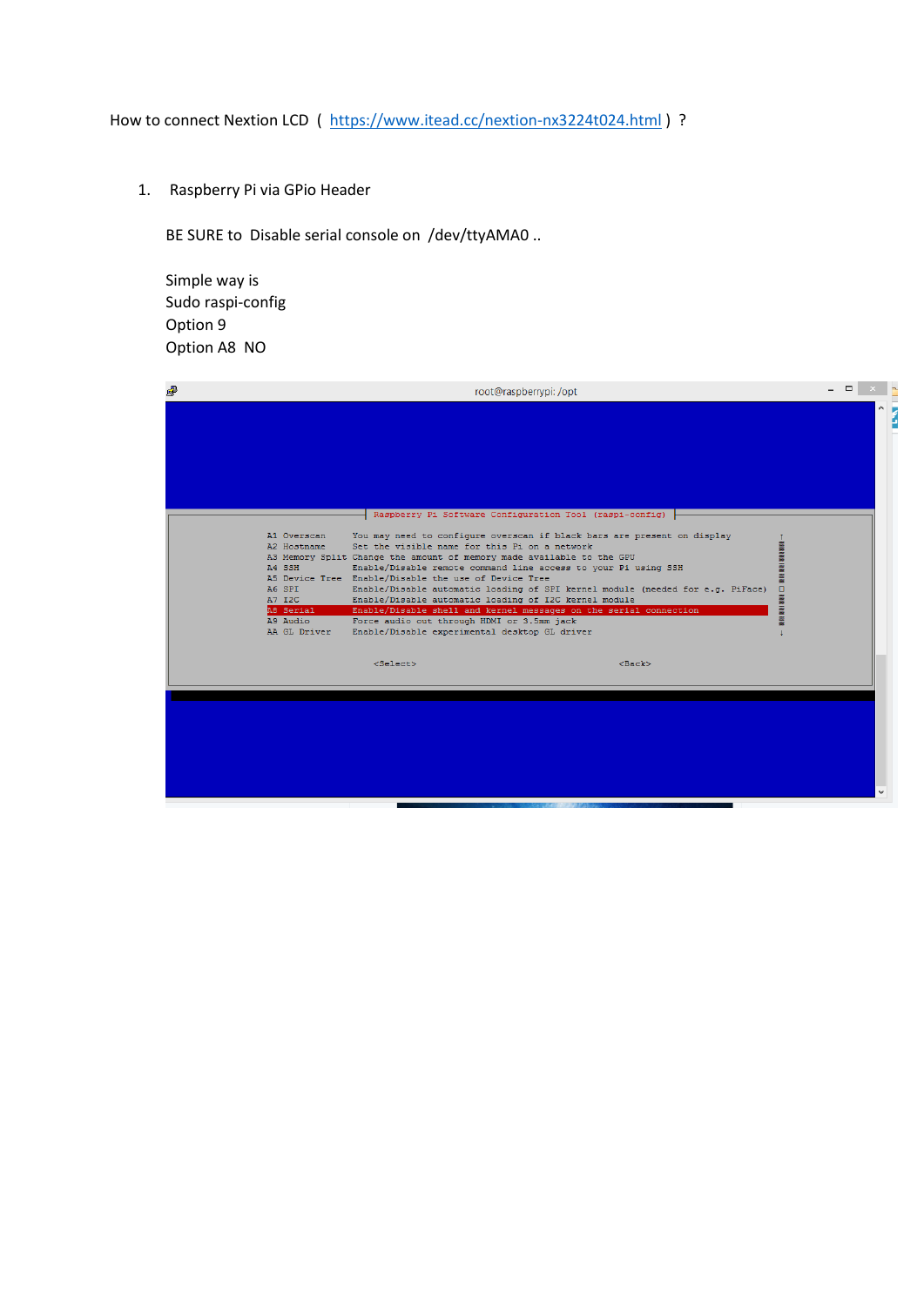How to connect Nextion LCD ( https://www.itead.cc/nextion-nx3224t024.html) ?

1. Raspberry Pi via GPio Header

BE SURE to Disable serial console on /dev/ttyAMA0 ..

Simple way is Sudo raspi-config Option 9 Option A8 NO

| 噿                                                                                                 | root@raspberrypi: /opt                                                                                                                                                                                                                                                                                                                                                                                                                                                                                                                                                                                                                                                                                                              |  |  |
|---------------------------------------------------------------------------------------------------|-------------------------------------------------------------------------------------------------------------------------------------------------------------------------------------------------------------------------------------------------------------------------------------------------------------------------------------------------------------------------------------------------------------------------------------------------------------------------------------------------------------------------------------------------------------------------------------------------------------------------------------------------------------------------------------------------------------------------------------|--|--|
|                                                                                                   |                                                                                                                                                                                                                                                                                                                                                                                                                                                                                                                                                                                                                                                                                                                                     |  |  |
| A1 Overscan<br>A2 Hostname<br>A4 SSH<br>A6 SPI<br>A7 I2C<br>A8 Serial<br>A9 Audio<br>AA GL Driver | Raspberry Pi Software Configuration Tool (raspi-config)<br>You may need to configure overscan if black bars are present on display<br>Set the visible name for this Pi on a network<br>A3 Memory Split Change the amount of memory made available to the GPU<br>Enable/Disable remote command line access to your Pi using SSH<br>A5 Device Tree Enable/Disable the use of Device Tree<br>Enable/Disable automatic loading of SPI kernel module (needed for e.g. PiFace)<br>o<br><b>MANA PARTS AND</b><br>Enable/Disable automatic loading of I2C kernel module<br>Enable/Disable shell and kernel messages on the serial connection<br>Force audio out through HDMI or 3.5mm jack<br>Enable/Disable experimental desktop GL driver |  |  |
|                                                                                                   | <select><br/><math>&lt;</math>Back<math>&gt;</math></select>                                                                                                                                                                                                                                                                                                                                                                                                                                                                                                                                                                                                                                                                        |  |  |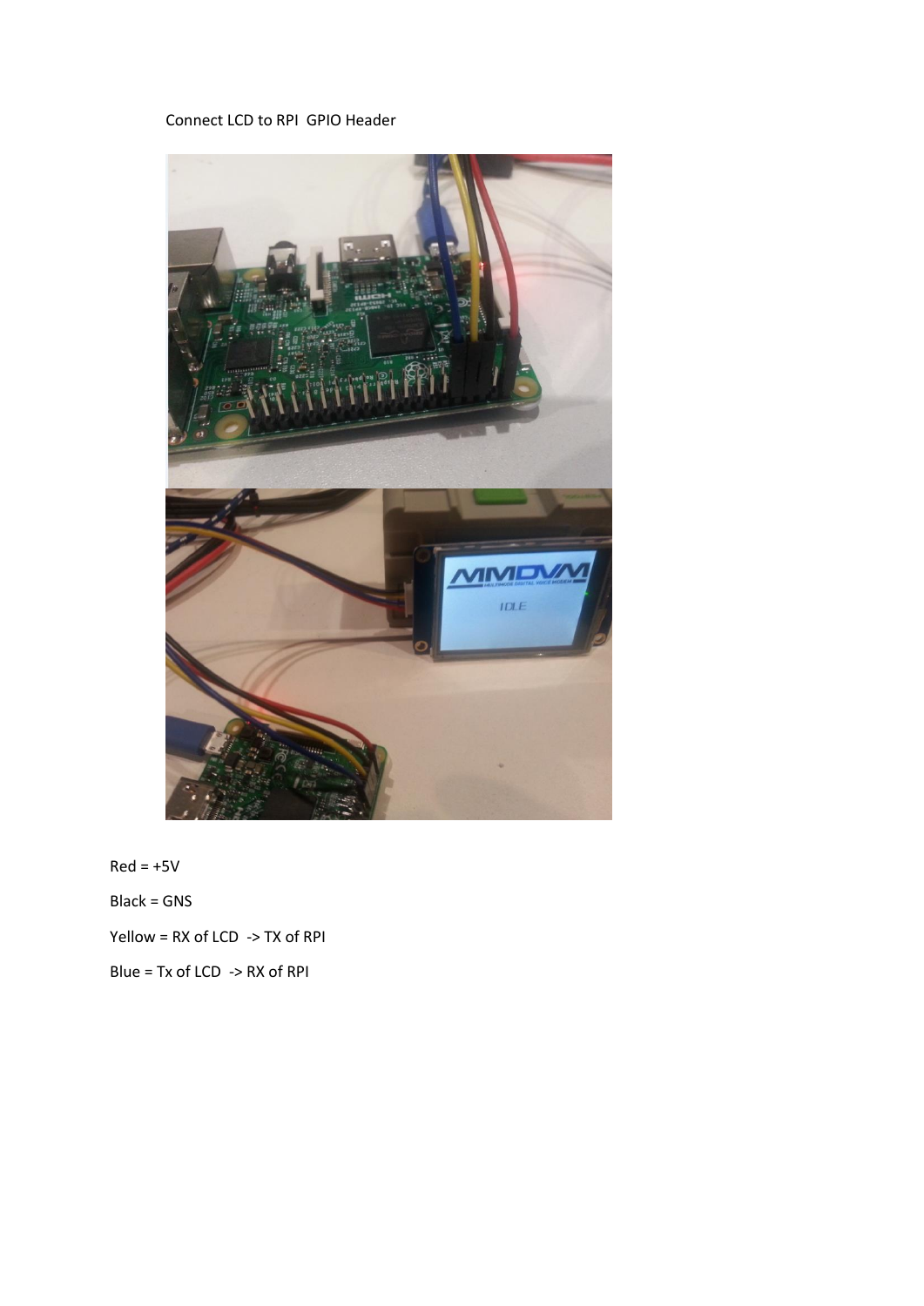## Connect LCD to RPI GPIO Header



 $Red = +5V$ Black = GNS Yellow = RX of LCD -> TX of RPI Blue = Tx of LCD -> RX of RPI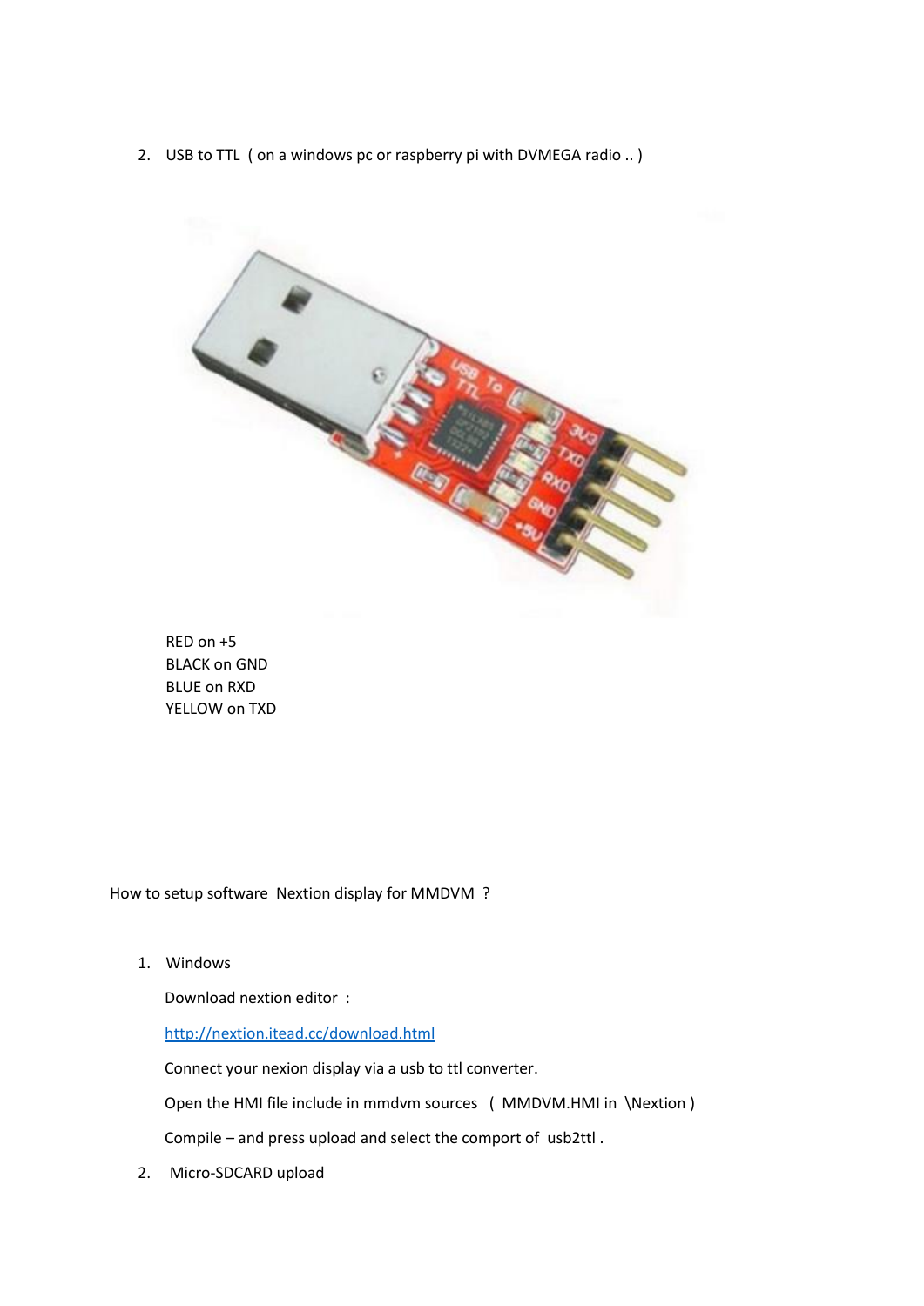2. USB to TTL ( on a windows pc or raspberry pi with DVMEGA radio .. )



RED on +5 BLACK on GND BLUE on RXD YELLOW on TXD

How to setup software Nextion display for MMDVM ?

1. Windows

Download nextion editor :

<http://nextion.itead.cc/download.html>

Connect your nexion display via a usb to ttl converter.

Open the HMI file include in mmdvm sources ( MMDVM.HMI in \Nextion )

Compile – and press upload and select the comport of usb2ttl .

2. Micro-SDCARD upload